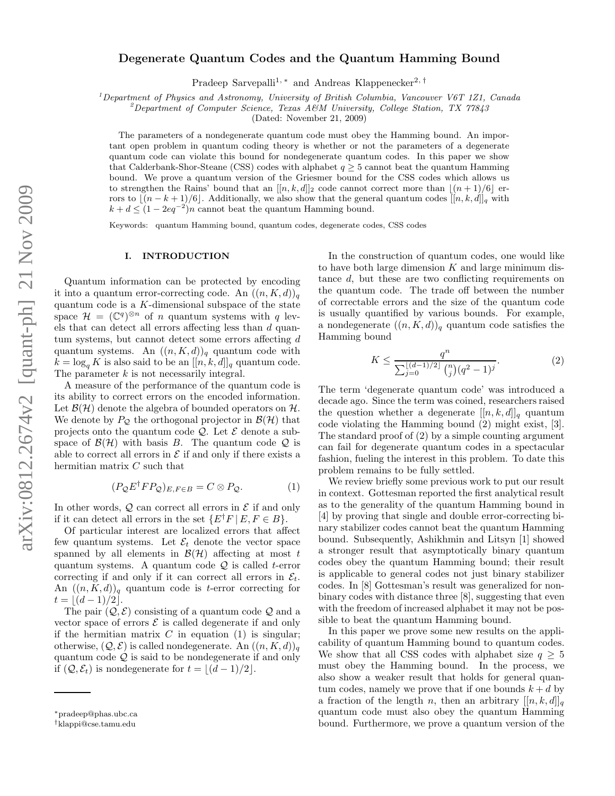# Degenerate Quantum Codes and the Quantum Hamming Bound

Pradeep Sarvepalli<sup>1,∗</sup> and Andreas Klappenecker<sup>2,†</sup>

<sup>1</sup>Department of Physics and Astronomy, University of British Columbia, Vancouver V6T 1Z1, Canada

<sup>2</sup>Department of Computer Science, Texas A&M University, College Station, TX 77843

(Dated: November 21, 2009)

The parameters of a nondegenerate quantum code must obey the Hamming bound. An important open problem in quantum coding theory is whether or not the parameters of a degenerate quantum code can violate this bound for nondegenerate quantum codes. In this paper we show that Calderbank-Shor-Steane (CSS) codes with alphabet  $q \geq 5$  cannot beat the quantum Hamming bound. We prove a quantum version of the Griesmer bound for the CSS codes which allows us to strengthen the Rains' bound that an  $[[n, k, d]]_2$  code cannot correct more than  $[(n+1)/6]$  errors to  $[(n-k+1)/6]$ . Additionally, we also show that the general quantum codes  $[[n, k, d]]_q$  with  $k + d \leq (1 - 2eq^{-2})n$  cannot beat the quantum Hamming bound.

Keywords: quantum Hamming bound, quantum codes, degenerate codes, CSS codes

#### I. INTRODUCTION

Quantum information can be protected by encoding it into a quantum error-correcting code. An  $((n, K, d))_q$ quantum code is a  $K$ -dimensional subspace of the state space  $\mathcal{H} = (\mathbb{C}^q)^{\otimes n}$  of *n* quantum systems with *q* levels that can detect all errors affecting less than d quantum systems, but cannot detect some errors affecting d quantum systems. An  $((n, K, d))_q$  quantum code with  $k = \log_q K$  is also said to be an  $[[n, k, d]]_q$  quantum code. The parameter k is not necessarily integral.

A measure of the performance of the quantum code is its ability to correct errors on the encoded information. Let  $\mathcal{B}(\mathcal{H})$  denote the algebra of bounded operators on  $\mathcal{H}$ . We denote by  $P_{\mathcal{Q}}$  the orthogonal projector in  $\mathcal{B}(\mathcal{H})$  that projects onto the quantum code  $\mathcal{Q}$ . Let  $\mathcal E$  denote a subspace of  $\mathcal{B}(\mathcal{H})$  with basis B. The quantum code Q is able to correct all errors in  $\mathcal E$  if and only if there exists a hermitian matrix C such that

$$
(P_{\mathcal{Q}}E^{\dagger}FP_{\mathcal{Q}})_{E,F\in B} = C \otimes P_{\mathcal{Q}}.\tag{1}
$$

In other words,  $Q$  can correct all errors in  $E$  if and only if it can detect all errors in the set  $\{E^{\dagger}F \mid E, F \in B\}.$ 

Of particular interest are localized errors that affect few quantum systems. Let  $\mathcal{E}_t$  denote the vector space spanned by all elements in  $\mathcal{B}(\mathcal{H})$  affecting at most t quantum systems. A quantum code  $Q$  is called t-error correcting if and only if it can correct all errors in  $\mathcal{E}_t$ . An  $((n, K, d))_q$  quantum code is *t*-error correcting for  $t = \lfloor (d-1)/2 \rfloor$ .

The pair  $(Q, \mathcal{E})$  consisting of a quantum code  $Q$  and a vector space of errors  $\mathcal E$  is called degenerate if and only if the hermitian matrix  $C$  in equation (1) is singular; otherwise,  $(Q, \mathcal{E})$  is called nondegenerate. An  $((n, K, d))_q$ quantum code  $Q$  is said to be nondegenerate if and only if  $(Q, \mathcal{E}_t)$  is nondegenerate for  $t = |(d-1)/2|$ .

In the construction of quantum codes, one would like to have both large dimension  $K$  and large minimum distance d, but these are two conflicting requirements on the quantum code. The trade off between the number of correctable errors and the size of the quantum code is usually quantified by various bounds. For example, a nondegenerate  $((n, K, d))_q$  quantum code satisfies the Hamming bound

$$
K \le \frac{q^n}{\sum_{j=0}^{\lfloor (d-1)/2 \rfloor} \binom{n}{j} (q^2 - 1)^j}.
$$
 (2)

The term 'degenerate quantum code' was introduced a decade ago. Since the term was coined, researchers raised the question whether a degenerate  $[[n, k, d]]_q$  quantum code violating the Hamming bound (2) might exist, [3]. The standard proof of (2) by a simple counting argument can fail for degenerate quantum codes in a spectacular fashion, fueling the interest in this problem. To date this problem remains to be fully settled.

We review briefly some previous work to put our result in context. Gottesman reported the first analytical result as to the generality of the quantum Hamming bound in [4] by proving that single and double error-correcting binary stabilizer codes cannot beat the quantum Hamming bound. Subsequently, Ashikhmin and Litsyn [1] showed a stronger result that asymptotically binary quantum codes obey the quantum Hamming bound; their result is applicable to general codes not just binary stabilizer codes. In [8] Gottesman's result was generalized for nonbinary codes with distance three [8], suggesting that even with the freedom of increased alphabet it may not be possible to beat the quantum Hamming bound.

In this paper we prove some new results on the applicability of quantum Hamming bound to quantum codes. We show that all CSS codes with alphabet size  $q \geq 5$ must obey the Hamming bound. In the process, we also show a weaker result that holds for general quantum codes, namely we prove that if one bounds  $k + d$  by a fraction of the length n, then an arbitrary  $[[n, k, d]]_q$ quantum code must also obey the quantum Hamming bound. Furthermore, we prove a quantum version of the

<sup>∗</sup>pradeep@phas.ubc.ca

<sup>†</sup>klappi@cse.tamu.edu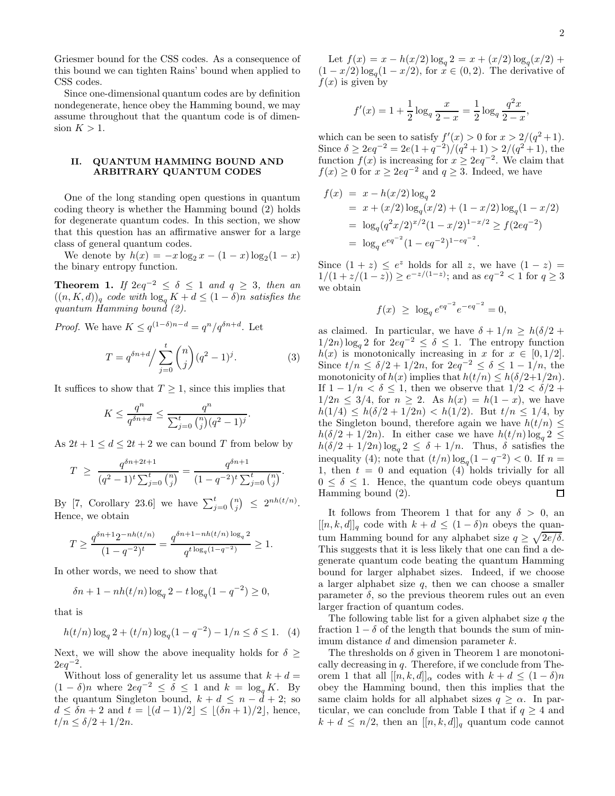Griesmer bound for the CSS codes. As a consequence of this bound we can tighten Rains' bound when applied to CSS codes.

Since one-dimensional quantum codes are by definition nondegenerate, hence obey the Hamming bound, we may assume throughout that the quantum code is of dimension  $K > 1$ .

# II. QUANTUM HAMMING BOUND AND ARBITRARY QUANTUM CODES

One of the long standing open questions in quantum coding theory is whether the Hamming bound (2) holds for degenerate quantum codes. In this section, we show that this question has an affirmative answer for a large class of general quantum codes.

We denote by  $h(x) = -x \log_2 x - (1 - x) \log_2 (1 - x)$ the binary entropy function.

Theorem 1. *If*  $2eq^{-2} \le \delta \le 1$  *and*  $q \ge 3$ *, then an*  $((n, K, d))_q$  *code with*  $\log_q K + d \leq (1 - \delta)n$  *satisfies the quantum Hamming bound (2).*

*Proof.* We have 
$$
K \leq q^{(1-\delta)n-d} = q^n/q^{\delta n+d}
$$
. Let

$$
T = q^{\delta n + d} / \sum_{j=0}^{t} {n \choose j} (q^2 - 1)^j.
$$
 (3)

It suffices to show that  $T \geq 1$ , since this implies that

$$
K \le \frac{q^n}{q^{\delta n + d}} \le \frac{q^n}{\sum_{j=0}^t \binom{n}{j} (q^2 - 1)^j}.
$$

As  $2t + 1 \leq d \leq 2t + 2$  we can bound T from below by

$$
T \ge \frac{q^{\delta n + 2t + 1}}{(q^2 - 1)^t \sum_{j=0}^t {n \choose j}} = \frac{q^{\delta n + 1}}{(1 - q^{-2})^t \sum_{j=0}^t {n \choose j}}.
$$

By [7, Corollary 23.6] we have  $\sum_{j=0}^{t} \binom{n}{j} \leq 2^{nh(t/n)}$ . Hence, we obtain

$$
T \ge \frac{q^{\delta n + 1} 2^{-nh(t/n)}}{(1 - q^{-2})^t} = \frac{q^{\delta n + 1 - nh(t/n) \log_q 2}}{q^{t \log_q (1 - q^{-2})}} \ge 1.
$$

In other words, we need to show that

$$
\delta n + 1 - nh(t/n) \log_q 2 - t \log_q (1 - q^{-2}) \ge 0,
$$

that is

$$
h(t/n)\log_q 2 + (t/n)\log_q(1 - q^{-2}) - 1/n \le \delta \le 1. \tag{4}
$$

Next, we will show the above inequality holds for  $\delta$  >  $2eq^{-2}$ .

Without loss of generality let us assume that  $k + d =$  $(1 - \delta)n$  where  $2eq^{-2} \leq \delta \leq 1$  and  $k = \log_q K$ . By the quantum Singleton bound,  $k + d \leq n - d + 2$ ; so  $d \leq \delta n + 2$  and  $t = \lfloor (d-1)/2 \rfloor \leq \lfloor (\delta n + 1)/2 \rfloor$ , hence,  $t/n \leq \delta/2 + 1/2n$ .

Let  $f(x) = x - h(x/2) \log_q 2 = x + (x/2) \log_q(x/2) +$  $(1-x/2)\log_q(1-x/2)$ , for  $x \in (0,2)$ . The derivative of  $f(x)$  is given by

$$
f'(x) = 1 + \frac{1}{2} \log_q \frac{x}{2 - x} = \frac{1}{2} \log_q \frac{q^2 x}{2 - x},
$$

which can be seen to satisfy  $f'(x) > 0$  for  $x > 2/(q^2+1)$ . Since  $\delta \ge 2eq^{-2} = 2e(1+q^{-2})/(q^2+1) > 2/(q^2+1)$ , the function  $f(x)$  is increasing for  $x \ge 2eq^{-2}$ . We claim that  $f(x) \ge 0$  for  $x \ge 2eq^{-2}$  and  $q \ge 3$ . Indeed, we have

$$
f(x) = x - h(x/2) \log_q 2
$$
  
=  $x + (x/2) \log_q(x/2) + (1 - x/2) \log_q(1 - x/2)$   
=  $\log_q(q^2x/2)^{x/2}(1 - x/2)^{1-x/2} \ge f(2eq^{-2})$   
=  $\log_q e^{eq^{-2}}(1 - eq^{-2})^{1 - eq^{-2}}$ .

Since  $(1 + z) \leq e^z$  holds for all z, we have  $(1 - z) =$  $1/(1 + z/(1-z)) \ge e^{-z/(1-z)}$ ; and as  $eq^{-2} < 1$  for  $q \ge 3$ we obtain

$$
f(x) \ \ge \ \log_q e^{eq^{-2}} e^{-eq^{-2}} = 0,
$$

as claimed. In particular, we have  $\delta + 1/n \ge h(\delta/2 +$  $1/2n) \log_q 2$  for  $2eq^{-2} \leq \delta \leq 1$ . The entropy function  $h(x)$  is monotonically increasing in x for  $x \in [0, 1/2]$ . Since  $t/n \leq \delta/2 + 1/2n$ , for  $2eq^{-2} \leq \delta \leq 1 - 1/n$ , the monotonicity of  $h(x)$  implies that  $h(t/n) \leq h(\delta/2+1/2n)$ . If  $1 - 1/n < \delta \leq 1$ , then we observe that  $1/2 < \delta/2 +$  $1/2n \leq 3/4$ , for  $n \geq 2$ . As  $h(x) = h(1-x)$ , we have  $h(1/4) \le h(\delta/2 + 1/2n) < h(1/2)$ . But  $t/n \le 1/4$ , by the Singleton bound, therefore again we have  $h(t/n) \leq$  $h(\delta/2 + 1/2n)$ . In either case we have  $h(t/n) \log_q 2 \leq$  $h(\delta/2 + 1/2n) \log_q 2 \leq \delta + 1/n$ . Thus,  $\delta$  satisfies the inequality (4); note that  $(t/n) \log_q(1 - q^{-2}) < 0$ . If  $n =$ 1, then  $t = 0$  and equation (4) holds trivially for all  $0 \leq \delta \leq 1$ . Hence, the quantum code obeys quantum Hamming bound (2).  $\Box$ 

It follows from Theorem 1 that for any  $\delta > 0$ , an  $[[n, k, d]]_q$  code with  $k + d \leq (1 - \delta)n$  obeys the quantum Hamming bound for any alphabet size  $q \geq \sqrt{2e/\delta}$ . This suggests that it is less likely that one can find a degenerate quantum code beating the quantum Hamming bound for larger alphabet sizes. Indeed, if we choose a larger alphabet size  $q$ , then we can choose a smaller parameter  $\delta$ , so the previous theorem rules out an even larger fraction of quantum codes.

The following table list for a given alphabet size  $q$  the fraction  $1 - \delta$  of the length that bounds the sum of minimum distance d and dimension parameter k.

The thresholds on  $\delta$  given in Theorem 1 are monotonically decreasing in  $q$ . Therefore, if we conclude from Theorem 1 that all  $[[n, k, d]]_{\alpha}$  codes with  $k + d \leq (1 - \delta)n$ obey the Hamming bound, then this implies that the same claim holds for all alphabet sizes  $q \geq \alpha$ . In particular, we can conclude from Table I that if  $q \geq 4$  and  $k + d \leq n/2$ , then an  $[[n, k, d]]_q$  quantum code cannot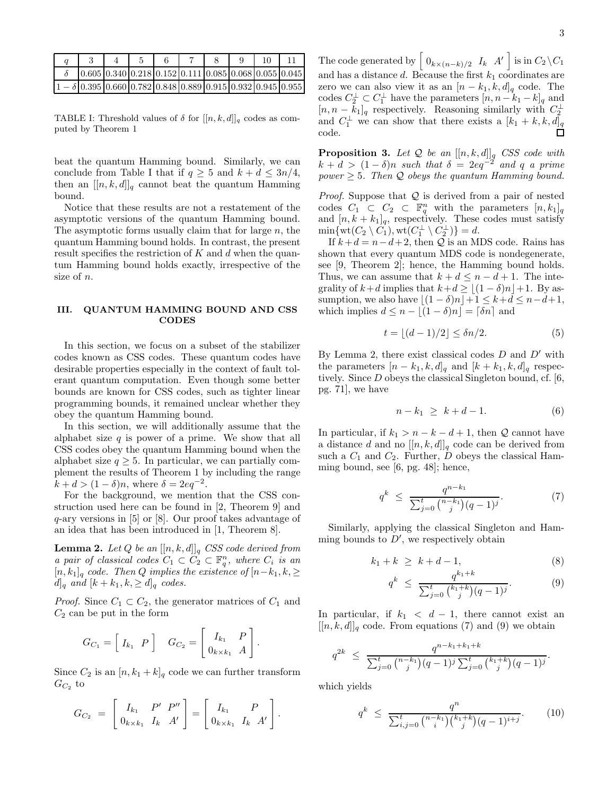|  |  |  |  | $[0.605 \, 0.340 \, 0.218 \, 0.152 \, 0.111 \, 0.085 \, 0.068 \, 0.055 \, 0.045$                                         |  |
|--|--|--|--|--------------------------------------------------------------------------------------------------------------------------|--|
|  |  |  |  | $1 - \delta \vert 0.395 \vert 0.660 \vert 0.782 \vert 0.848 \vert 0.889 \vert 0.915 \vert 0.932 \vert 0.945 \vert 0.955$ |  |

TABLE I: Threshold values of  $\delta$  for  $[[n, k, d]]_q$  codes as computed by Theorem 1

beat the quantum Hamming bound. Similarly, we can conclude from Table I that if  $q \geq 5$  and  $k + d \leq 3n/4$ , then an  $[[n, k, d]]_q$  cannot beat the quantum Hamming bound.

Notice that these results are not a restatement of the asymptotic versions of the quantum Hamming bound. The asymptotic forms usually claim that for large  $n$ , the quantum Hamming bound holds. In contrast, the present result specifies the restriction of  $K$  and  $d$  when the quantum Hamming bound holds exactly, irrespective of the size of n.

## III. QUANTUM HAMMING BOUND AND CSS **CODES**

In this section, we focus on a subset of the stabilizer codes known as CSS codes. These quantum codes have desirable properties especially in the context of fault tolerant quantum computation. Even though some better bounds are known for CSS codes, such as tighter linear programming bounds, it remained unclear whether they obey the quantum Hamming bound.

In this section, we will additionally assume that the alphabet size  $q$  is power of a prime. We show that all CSS codes obey the quantum Hamming bound when the alphabet size  $q > 5$ . In particular, we can partially complement the results of Theorem 1 by including the range  $k + d > (1 - \delta)n$ , where  $\delta = 2eq^{-2}$ .

For the background, we mention that the CSS construction used here can be found in [2, Theorem 9] and q-ary versions in [5] or [8]. Our proof takes advantage of an idea that has been introduced in [1, Theorem 8].

**Lemma 2.** Let  $Q$  be an  $[[n, k, d]]_q$  CSS code derived from *a pair of classical codes*  $C_1 \subset C_2 \subset \mathbb{F}_q^n$ , where  $C_i$  *is an* [n, k1]<sup>q</sup> *code. Then* Q *implies the existence of* [n−k1, k, ≥  $d_q$  and  $[k + k_1, k] \geq d_q$  *codes.* 

*Proof.* Since  $C_1 \subset C_2$ , the generator matrices of  $C_1$  and  $C_2$  can be put in the form

$$
G_{C_1} = \left[ \begin{array}{cc} I_{k_1} & P \end{array} \right] \quad G_{C_2} = \left[ \begin{array}{cc} I_{k_1} & P \\ 0_{k \times k_1} & A \end{array} \right].
$$

Since  $C_2$  is an  $[n, k_1 + k]_q$  code we can further transform  $G_{C_2}$  to

$$
G_{C_2} = \begin{bmatrix} I_{k_1} & P' & P'' \\ 0_{k \times k_1} & I_k & A' \end{bmatrix} = \begin{bmatrix} I_{k_1} & P \\ 0_{k \times k_1} & I_k & A' \end{bmatrix}.
$$

The code generated by  $\begin{bmatrix} 0_{k \times (n-k)/2} & I_k & A' \end{bmatrix}$  is in  $C_2 \backslash C_1$ and has a distance  $d$ . Because the first  $k_1$  coordinates are zero we can also view it as an  $[n - k_1, k, d]_q$  code. The codes  $C_2^{\perp} \subset C_1^{\perp}$  have the parameters  $[n, n-k_1-k]_q$  and  $[n, n - \bar{k}_1]_q$  respectively. Reasoning similarly with  $C_2^{\perp}$ and  $C_1^{\perp}$  we can show that there exists a  $[k_1 + k, k, d]_q$ code.

Proposition 3. *Let* Q *be an* [[n, k, d]]<sup>q</sup> *CSS code with*  $k + d > (1 - \delta)n$  *such that*  $\delta = 2eq^{-2}$  *and* q *a prime power*  $\geq$  5*. Then*  $\mathcal Q$  *obeys the quantum Hamming bound.* 

*Proof.* Suppose that Q is derived from a pair of nested codes  $C_1 \subset C_2 \subset \mathbb{F}_q^n$  with the parameters  $[n, k_1]_q$ and  $[n, k + k_1]_q$ , respectively. These codes must satisfy  $\min\{\text{wt}(C_2 \setminus \hat{C}_1), \text{wt}(C_1^{\perp} \setminus C_2^{\perp})\} = d.$ 

If  $k+d = n-d+2$ , then  $\mathcal Q$  is an MDS code. Rains has shown that every quantum MDS code is nondegenerate, see [9, Theorem 2]; hence, the Hamming bound holds. Thus, we can assume that  $k + d \leq n - d + 1$ . The integrality of  $k+d$  implies that  $k+d \geq \lfloor (1-\delta)n \rfloor +1$ . By assumption, we also have  $|(1 - \delta)n| + 1 \leq k + d \leq n - d + 1$ , which implies  $d \leq n - |(1 - \delta)n| = \lceil \delta n \rceil$  and

$$
t = \lfloor (d-1)/2 \rfloor \le \delta n/2. \tag{5}
$$

By Lemma 2, there exist classical codes  $D$  and  $D'$  with the parameters  $[n - k_1, k, d]_q$  and  $[k + k_1, k, d]_q$  respectively. Since D obeys the classical Singleton bound, cf. [6, pg. 71], we have

$$
n - k_1 \ge k + d - 1. \tag{6}
$$

In particular, if  $k_1 > n - k - d + 1$ , then Q cannot have a distance d and no  $[[n, k, d]]_q$  code can be derived from such a  $C_1$  and  $C_2$ . Further, D obeys the classical Hamming bound, see [6, pg. 48]; hence,

$$
q^k \le \frac{q^{n-k_1}}{\sum_{j=0}^t \binom{n-k_1}{j} (q-1)^j}.\tag{7}
$$

Similarly, applying the classical Singleton and Hamming bounds to  $D'$ , we respectively obtain

$$
k_1 + k \ge k + d - 1,\tag{8}
$$

$$
q^{k} \leq \frac{q^{k_1+k}}{\sum_{j=0}^{t} {k_1+k \choose j} (q-1)^j}.
$$
 (9)

.

In particular, if  $k_1 < d - 1$ , there cannot exist an  $[[n, k, d]]_q$  code. From equations (7) and (9) we obtain

$$
q^{2k} \le \frac{q^{n-k_1+k_1+k}}{\sum_{j=0}^t \binom{n-k_1}{j} (q-1)^j \sum_{j=0}^t \binom{k_1+k}{j} (q-1)^j}
$$

which yields

$$
q^{k} \leq \frac{q^{n}}{\sum_{i,j=0}^{t} {n-k_1 \choose i} {k_1+k \choose j} (q-1)^{i+j}}.
$$
 (10)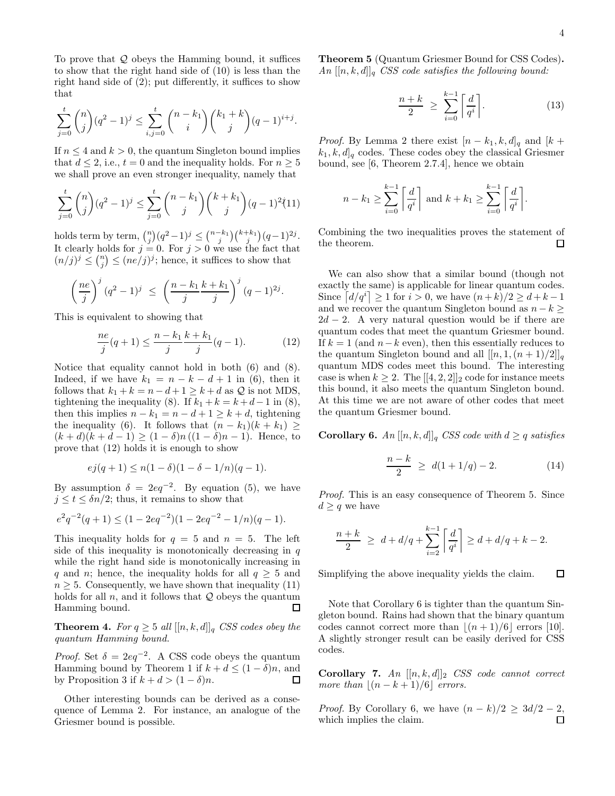To prove that  $Q$  obeys the Hamming bound, it suffices to show that the right hand side of (10) is less than the right hand side of (2); put differently, it suffices to show that

$$
\sum_{j=0}^{t} \binom{n}{j} (q^2 - 1)^j \le \sum_{i,j=0}^{t} \binom{n-k_1}{i} \binom{k_1+k}{j} (q-1)^{i+j}.
$$

If  $n \leq 4$  and  $k > 0$ , the quantum Singleton bound implies that  $d \leq 2$ , i.e.,  $t = 0$  and the inequality holds. For  $n \geq 5$ we shall prove an even stronger inequality, namely that

$$
\sum_{j=0}^{t} {n \choose j} (q^2 - 1)^j \le \sum_{j=0}^{t} {n - k_1 \choose j} {k + k_1 \choose j} (q - 1)^2 (11)
$$

holds term by term,  $\binom{n}{j} (q^2-1)^j \leq \binom{n-k_1}{j} \binom{k+k_1}{j} (q-1)^{2j}$ . It clearly holds for  $j = 0$ . For  $j > 0$  we use the fact that  $(n/j)^j \leq {n \choose j} \leq (ne/j)^j$ ; hence, it suffices to show that

$$
\left(\frac{ne}{j}\right)^j (q^2-1)^j \ \leq \ \left(\frac{n-k_1}{j}\frac{k+k_1}{j}\right)^j (q-1)^{2j}.
$$

This is equivalent to showing that

$$
\frac{ne}{j}(q+1) \le \frac{n-k_1}{j}\frac{k+k_1}{j}(q-1). \tag{12}
$$

Notice that equality cannot hold in both (6) and (8). Indeed, if we have  $k_1 = n - k - d + 1$  in (6), then it follows that  $k_1 + k = n - d + 1 \geq k + d$  as  $\mathcal Q$  is not MDS, tightening the inequality (8). If  $k_1 + k = k + d - 1$  in (8), then this implies  $n - k_1 = n - d + 1 \ge k + d$ , tightening the inequality (6). It follows that  $(n - k_1)(k + k_1) \ge$  $(k + d)(k + d - 1) \ge (1 - \delta)n((1 - \delta)n - 1)$ . Hence, to prove that (12) holds it is enough to show

$$
ej(q+1) \le n(1-\delta)(1-\delta - 1/n)(q-1).
$$

By assumption  $\delta = 2eq^{-2}$ . By equation (5), we have  $j \le t \le \delta n/2$ ; thus, it remains to show that

$$
e2q-2(q+1) \le (1 - 2eq-2)(1 - 2eq-2 - 1/n)(q - 1).
$$

This inequality holds for  $q = 5$  and  $n = 5$ . The left side of this inequality is monotonically decreasing in  $q$ while the right hand side is monotonically increasing in q and n; hence, the inequality holds for all  $q \geq 5$  and  $n \geq 5$ . Consequently, we have shown that inequality (11) holds for all  $n$ , and it follows that  $Q$  obeys the quantum Hamming bound.  $\Box$ 

**Theorem 4.** *For*  $q \geq 5$  *all*  $[[n, k, d]]_q$  *CSS codes obey the quantum Hamming bound.*

*Proof.* Set  $\delta = 2eq^{-2}$ . A CSS code obeys the quantum Hamming bound by Theorem 1 if  $k + d \leq (1 - \delta)n$ , and by Proposition 3 if  $k + d > (1 - \delta)n$ .  $\Box$ 

Other interesting bounds can be derived as a consequence of Lemma 2. For instance, an analogue of the Griesmer bound is possible.

Theorem 5 (Quantum Griesmer Bound for CSS Codes).  $An \, [[n, k, d]]_q \, \textit{CSS} \, \textit{code} \, \textit{satisfies} \, \textit{the following bound:}$ 

$$
\frac{n+k}{2} \ge \sum_{i=0}^{k-1} \left\lceil \frac{d}{q^i} \right\rceil. \tag{13}
$$

*Proof.* By Lemma 2 there exist  $[n - k_1, k, d]_q$  and  $[k +$  $k_1, k, d|_q$  codes. These codes obey the classical Griesmer bound, see [6, Theorem 2.7.4], hence we obtain

$$
n - k_1 \ge \sum_{i=0}^{k-1} \left\lceil \frac{d}{q^i} \right\rceil \text{ and } k + k_1 \ge \sum_{i=0}^{k-1} \left\lceil \frac{d}{q^i} \right\rceil.
$$

Combining the two inequalities proves the statement of the theorem.  $\Box$ 

We can also show that a similar bound (though not exactly the same) is applicable for linear quantum codes. Since  $\left[d/q^{i}\right] \geq 1$  for  $i > 0$ , we have  $(n+k)/2 \geq d+k-1$ and we recover the quantum Singleton bound as  $n - k \geq$  $2d - 2$ . A very natural question would be if there are quantum codes that meet the quantum Griesmer bound. If  $k = 1$  (and  $n - k$  even), then this essentially reduces to the quantum Singleton bound and all  $[[n, 1, (n + 1)/2]]_q$ quantum MDS codes meet this bound. The interesting case is when  $k \geq 2$ . The  $[[4, 2, 2]]_2$  code for instance meets this bound, it also meets the quantum Singleton bound. At this time we are not aware of other codes that meet the quantum Griesmer bound.

**Corollary 6.** *An*  $[[n, k, d]]_q$  *CSS code with*  $d \geq q$  *satisfies* 

$$
\frac{n-k}{2} \ge d(1+1/q) - 2. \tag{14}
$$

*Proof.* This is an easy consequence of Theorem 5. Since  $d \geq q$  we have

$$
\frac{n+k}{2} \ge d + d/q + \sum_{i=2}^{k-1} \left\lceil \frac{d}{q^i} \right\rceil \ge d + d/q + k - 2.
$$

Simplifying the above inequality yields the claim.  $\Box$ 

Note that Corollary 6 is tighter than the quantum Singleton bound. Rains had shown that the binary quantum codes cannot correct more than  $|(n+1)/6|$  errors [10]. A slightly stronger result can be easily derived for CSS codes.

Corollary 7. *An* [[n, k, d]]<sup>2</sup> *CSS code cannot correct more than*  $\lfloor (n - k + 1)/6 \rfloor$  *errors.* 

*Proof.* By Corollary 6, we have  $(n - k)/2 \geq 3d/2 - 2$ , which implies the claim. $\Box$